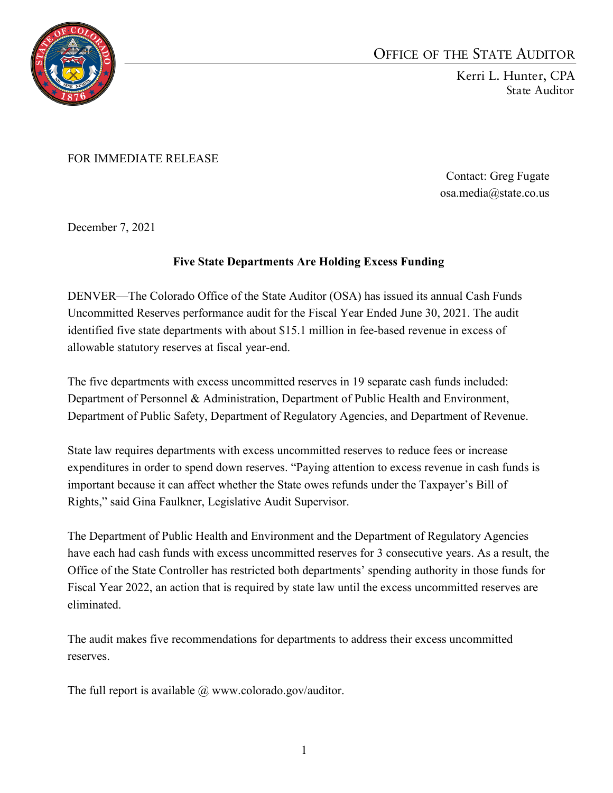

## OFFICE OF THE STATE AUDITOR

Kerri L. Hunter, CPA State Auditor

FOR IMMEDIATE RELEASE

Contact: Greg Fugate osa.media@state.co.us

December 7, 2021

## **Five State Departments Are Holding Excess Funding**

DENVER—The Colorado Office of the State Auditor (OSA) has issued its annual Cash Funds Uncommitted Reserves performance audit for the Fiscal Year Ended June 30, 2021. The audit identified five state departments with about \$15.1 million in fee-based revenue in excess of allowable statutory reserves at fiscal year-end.

The five departments with excess uncommitted reserves in 19 separate cash funds included: Department of Personnel & Administration, Department of Public Health and Environment, Department of Public Safety, Department of Regulatory Agencies, and Department of Revenue.

State law requires departments with excess uncommitted reserves to reduce fees or increase expenditures in order to spend down reserves. "Paying attention to excess revenue in cash funds is important because it can affect whether the State owes refunds under the Taxpayer's Bill of Rights," said Gina Faulkner, Legislative Audit Supervisor.

The Department of Public Health and Environment and the Department of Regulatory Agencies have each had cash funds with excess uncommitted reserves for 3 consecutive years. As a result, the Office of the State Controller has restricted both departments' spending authority in those funds for Fiscal Year 2022, an action that is required by state law until the excess uncommitted reserves are eliminated.

The audit makes five recommendations for departments to address their excess uncommitted reserves.

The full report is available  $\omega$  www.colorado.gov/auditor.